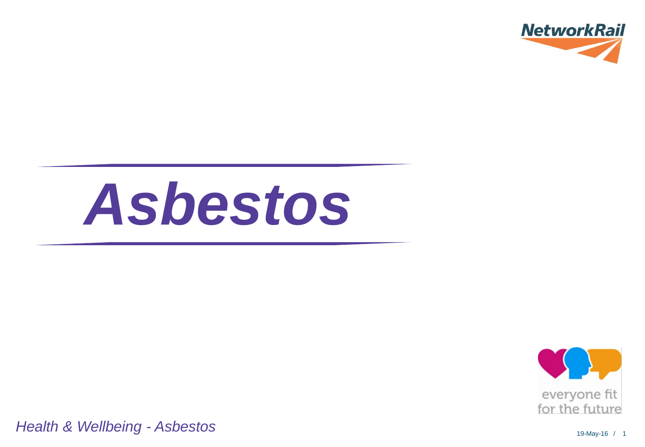

# *Asbestos*



*Health & Wellbeing - Asbestos*

19-May-16 / 1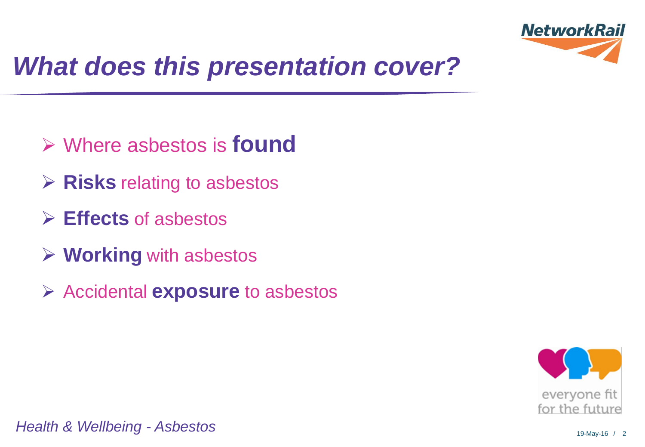

# *What does this presentation cover?*

- Where asbestos is **found**
- **EXEC** relating to asbestos
- **Effects** of asbestos
- **Working** with asbestos
- Accidental **exposure** to asbestos

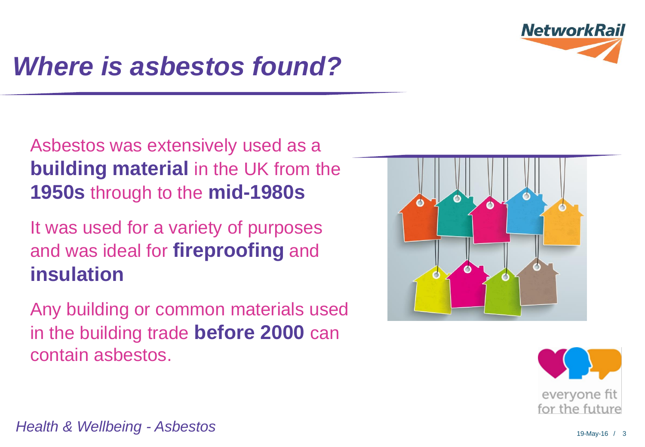

# *Where is asbestos found?*

#### Asbestos was extensively used as a **building material** in the UK from the **1950s** through to the **mid-1980s**

#### It was used for a variety of purposes and was ideal for **fireproofing** and **insulation**

Any building or common materials used in the building trade **before 2000** can contain asbestos.



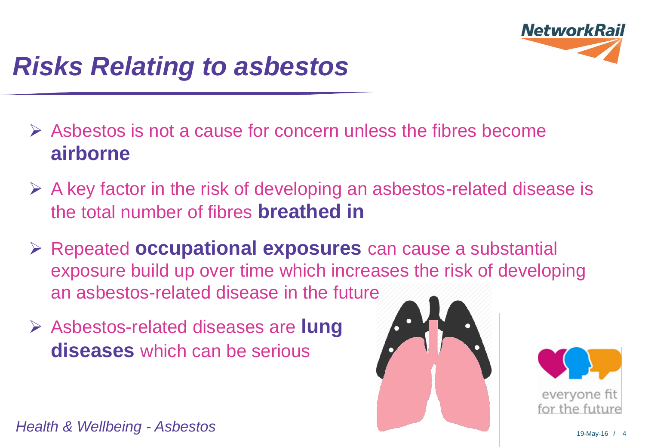

# *Risks Relating to asbestos*

- $\triangleright$  Asbestos is not a cause for concern unless the fibres become **airborne**
- $\triangleright$  A key factor in the risk of developing an asbestos-related disease is the total number of fibres **breathed in**
- Repeated **occupational exposures** can cause a substantial exposure build up over time which increases the risk of developing an asbestos-related disease in the future
- Asbestos-related diseases are **lung diseases** which can be serious



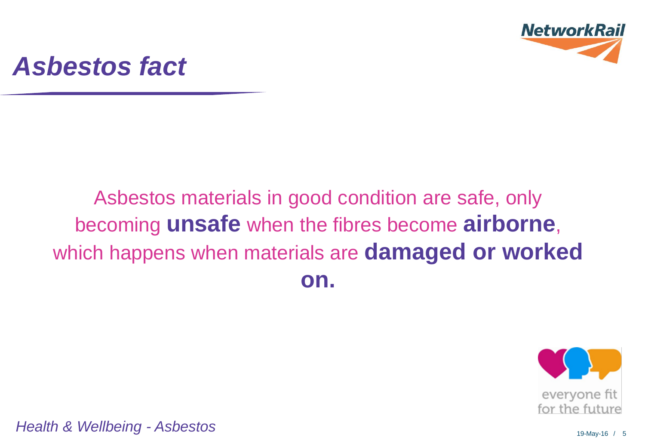

## *Asbestos fact*

## Asbestos materials in good condition are safe, only becoming **unsafe** when the fibres become **airborne**, which happens when materials are **damaged or worked on.**



*Health & Wellbeing* 19-May-16 / <sup>5</sup> *- Asbestos*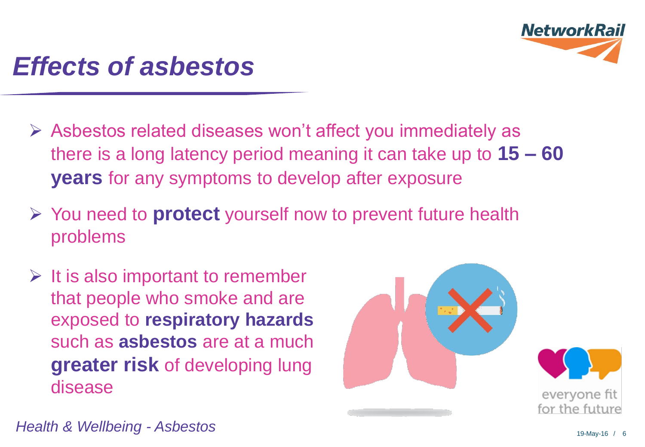

## *Effects of asbestos*

- Asbestos related diseases won't affect you immediately as there is a long latency period meaning it can take up to **15 – 60 years** for any symptoms to develop after exposure
- You need to **protect** yourself now to prevent future health problems
- $\triangleright$  It is also important to remember that people who smoke and are exposed to **respiratory hazards**  such as **asbestos** are at a much **greater risk** of developing lung disease

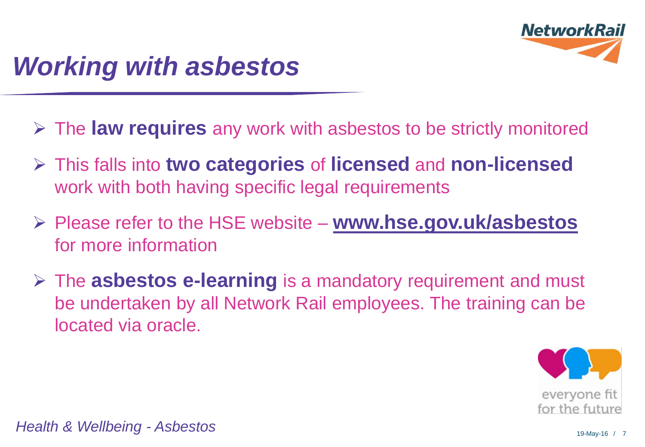

# *Working with asbestos*

- The **law requires** any work with asbestos to be strictly monitored
- This falls into **two categories** of **licensed** and **non-licensed**  work with both having specific legal requirements
- Please refer to the HSE website **[www.hse.gov.uk/asbestos](http://www.hse.gov.uk/asbestos)** for more information
- The **asbestos e-learning** is a mandatory requirement and must be undertaken by all Network Rail employees. The training can be located via oracle.



*Health & Wellbeing* 19-May-16 / <sup>7</sup> *- Asbestos*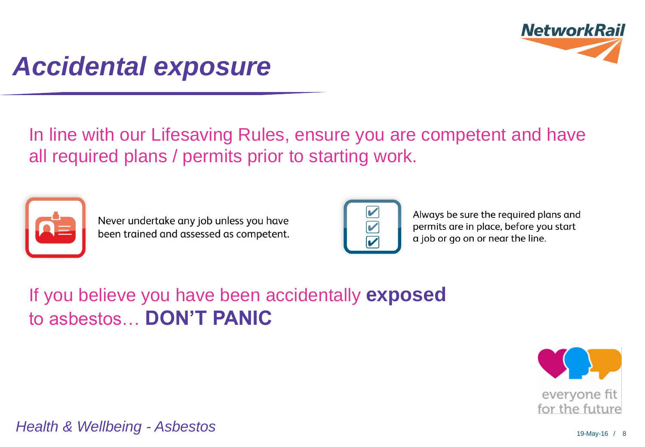

## *Accidental exposure*

In line with our Lifesaving Rules, ensure you are competent and have all required plans / permits prior to starting work.



Never undertake any job unless you have been trained and assessed as competent.

Always be sure the required plans and permits are in place, before you start a job or go on or near the line.

#### If you believe you have been accidentally **exposed** to asbestos… **DON'T PANIC**

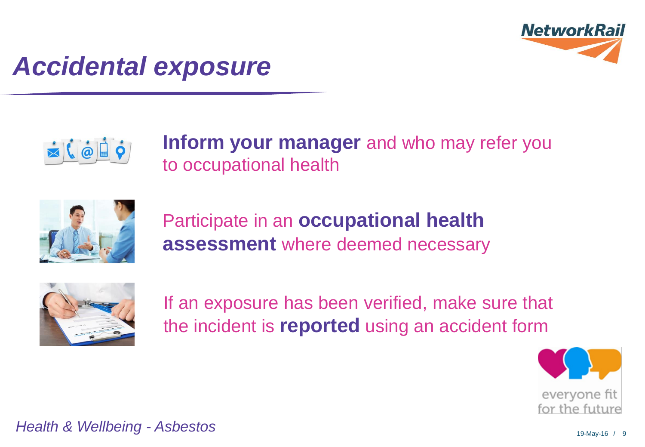

## *Accidental exposure*



**Inform your manager** and who may refer you to occupational health



Participate in an **occupational health assessment** where deemed necessary



If an exposure has been verified, make sure that the incident is **reported** using an accident form